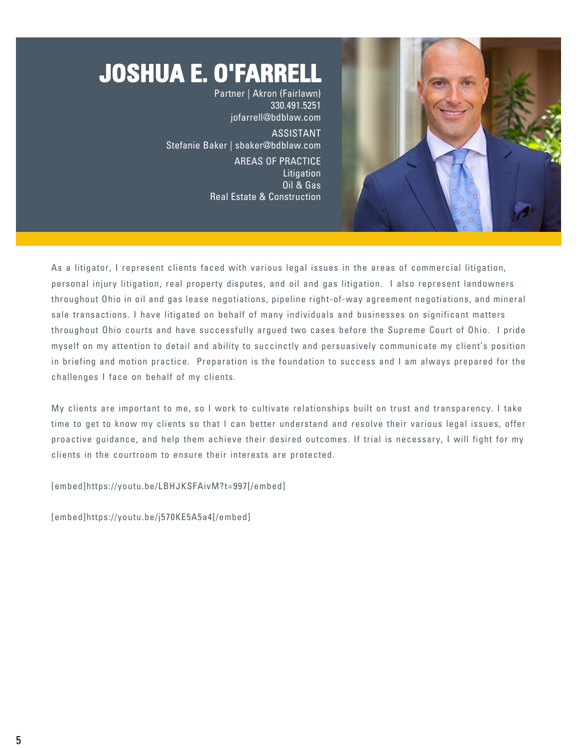# **JOSHUA E. O'FARRELL**

Partner | Akron (Fairlawn) 330.491.5251 [jofarrell@bdblaw.com](mailto:jofarrell@bdblaw.com) ASSISTANT Stefanie Baker | [sbaker@bdblaw.com](mailto:sbaker@bdblaw.com) AREAS OF PRACTICE **Litigation** Oil & Gas Real Estate & Construction



As a litigator, I represent clients faced with various legal issues in the areas of commercial litigation, personal injury litigation, real property disputes, and oil and gas litigation. I also represent landowners throughout Ohio in oil and gas lease negotiations, pipeline right-of-way agreement negotiations, and mineral sale transactions. I have litigated on behalf of many individuals and businesses on significant matters throughout Ohio courts and have successfully argued two cases before the Supreme Court of Ohio. I pride myself on my attention to detail and ability to succinctly and persuasively communicate my client's position in briefing and motion practice. Preparation is the foundation to success and I am always prepared for the challenges I face on behalf of my clients.

My clients are important to me, so I work to cultivate relationships built on trust and transparency. I take time to get to know my clients so that I can better understand and resolve their various legal issues, offer proactive guidance, and help them achieve their desired outcomes. If trial is necessary, I will fight for my clients in the courtroom to ensure their interests are protected.

[embed]https://youtu.be/LBHJKSFAivM?t=997[/embed]

[embed]https://youtu.be/j570KE5A5a4[/embed]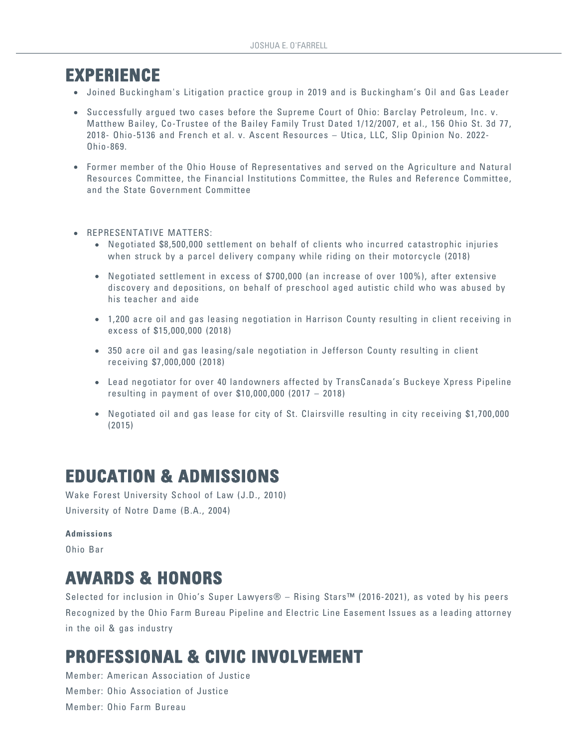### **EXPERIENCE**

- Joined Buckingham's Litigation practice group in 2019 and is Buckingham's Oil and Gas Leader
- Successfully argued two cases before the Supreme Court of Ohio: Barclay Petroleum, Inc. v. Matthew Bailey, Co-Trustee of the Bailey Family Trust Dated 1/12/2007, et al., 156 Ohio St. 3d 77, 2018- Ohio-5136 and French et al. v. Ascent Resources – Utica, LLC, Slip Opinion No. 2022- Ohio-869.
- Former member of the Ohio House of Representatives and served on the Agriculture and Natural Resources Committee, the Financial Institutions Committee, the Rules and Reference Committee, and the State Government Committee
- **REPRESENTATIVE MATTERS:** 
	- Negotiated \$8,500,000 settlement on behalf of clients who incurred catastrophic injuries when struck by a parcel delivery company while riding on their motorcycle (2018)
	- Negotiated settlement in excess of \$700,000 (an increase of over 100%), after extensive discovery and depositions, on behalf of preschool aged autistic child who was abused by his teacher and aide
	- 1,200 acre oil and gas leasing negotiation in Harrison County resulting in client receiving in excess of \$15,000,000 (2018)
	- 350 acre oil and gas leasing/sale negotiation in Jefferson County resulting in client receiving \$7,000,000 (2018)
	- Lead negotiator for over 40 landowners affected by TransCanada's Buckeye Xpress Pipeline resulting in payment of over \$10,000,000 (2017 – 2018)
	- Negotiated oil and gas lease for city of St. Clairsville resulting in city receiving \$1,700,000 (2015)

## **EDUCATION & ADMISSIONS**

Wake Forest University School of Law (J.D., 2010) University of Notre Dame (B.A., 2004)

#### **Admissions**

Ohio Bar

## **AWARDS & HONORS**

Selected for inclusion in Ohio's Super Lawyers® – Rising Stars™ (2016-2021), as voted by his peers Recognized by the Ohio Farm Bureau Pipeline and Electric Line Easement Issues as a leading attorney in the oil & gas industry

## **PROFESSIONAL & CIVIC INVOLVEMENT**

Member: American Association of Justice Member: Ohio Association of Justice Member: Ohio Farm Bureau